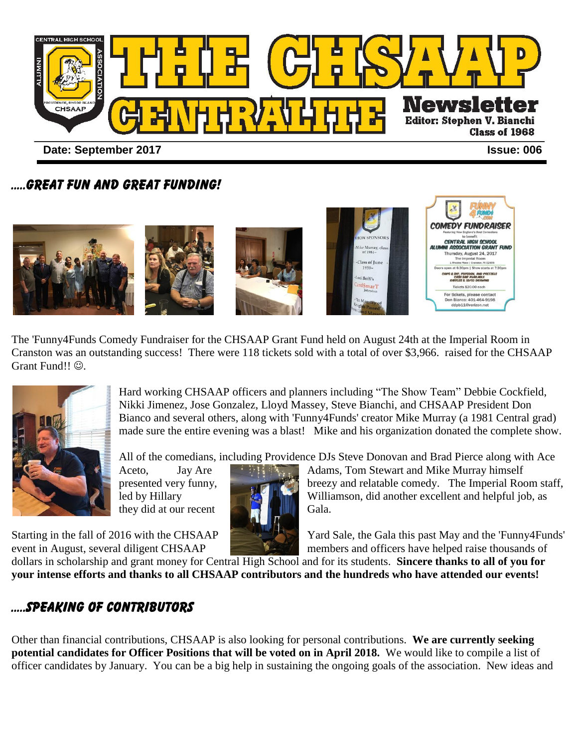

### .....GREAT FUN AND GREAT FUNDING!



The 'Funny4Funds Comedy Fundraiser for the CHSAAP Grant Fund held on August 24th at the Imperial Room in Cranston was an outstanding success! There were 118 tickets sold with a total of over \$3,966. raised for the CHSAAP Grant Fund!!  $\odot$ .



Hard working CHSAAP officers and planners including "The Show Team" Debbie Cockfield, Nikki Jimenez, Jose Gonzalez, Lloyd Massey, Steve Bianchi, and CHSAAP President Don Bianco and several others, along with 'Funny4Funds' creator Mike Murray (a 1981 Central grad) made sure the entire evening was a blast! Mike and his organization donated the complete show.

All of the comedians, including Providence DJs Steve Donovan and Brad Pierce along with Ace

they did at our recent Gala.

Aceto, Jay Are **All Aces** Adams, Tom Stewart and Mike Murray himself presented very funny, breezy and relatable comedy. The Imperial Room staff, led by Hillary Williamson, did another excellent and helpful job, as

Starting in the fall of 2016 with the CHSAAP Yard Sale, the Gala this past May and the 'Funny4Funds' event in August, several diligent CHSAAP members and officers have helped raise thousands of

dollars in scholarship and grant money for Central High School and for its students. **Sincere thanks to all of you for your intense efforts and thanks to all CHSAAP contributors and the hundreds who have attended our events!**

# .....SPEAKING OF CONTRIBUTORS

Other than financial contributions, CHSAAP is also looking for personal contributions. **We are currently seeking potential candidates for Officer Positions that will be voted on in April 2018.** We would like to compile a list of officer candidates by January. You can be a big help in sustaining the ongoing goals of the association. New ideas and

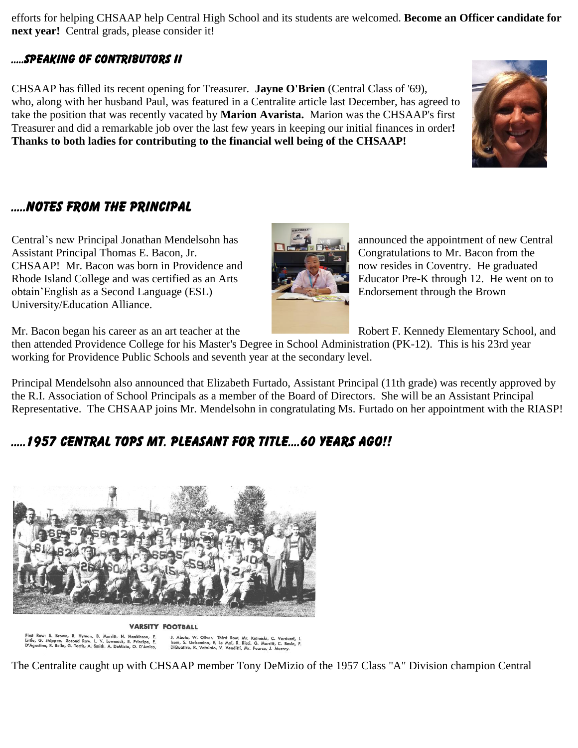efforts for helping CHSAAP help Central High School and its students are welcomed. **Become an Officer candidate for next year!** Central grads, please consider it!

#### .....SPEAKING OF CONTRIBUTORS II

CHSAAP has filled its recent opening for Treasurer. **Jayne O'Brien** (Central Class of '69), who, along with her husband Paul, was featured in a Centralite article last December, has agreed to take the position that was recently vacated by **Marion Avarista.** Marion was the CHSAAP's first Treasurer and did a remarkable job over the last few years in keeping our initial finances in order**! Thanks to both ladies for contributing to the financial well being of the CHSAAP!** 

## .....NOTES FROM THE PRINCIPAL

Central's new Principal Jonathan Mendelsohn has announced the appointment of new Central Assistant Principal Thomas E. Bacon, Jr. Congratulations to Mr. Bacon from the CHSAAP! Mr. Bacon was born in Providence and now resides in Coventry. He graduated Rhode Island College and was certified as an Arts Educator Pre-K through 12. He went on to obtain'English as a Second Language (ESL) Endorsement through the Brown University/Education Alliance.



Mr. Bacon began his career as an art teacher at the Robert F. Kennedy Elementary School, and

then attended Providence College for his Master's Degree in School Administration (PK-12). This is his 23rd year working for Providence Public Schools and seventh year at the secondary level.

Principal Mendelsohn also announced that Elizabeth Furtado, Assistant Principal (11th grade) was recently approved by the R.I. Association of School Principals as a member of the Board of Directors. She will be an Assistant Principal Representative. The CHSAAP joins Mr. Mendelsohn in congratulating Ms. Furtado on her appointment with the RIASP!

# .....1957 CENTRAL TOPS MT. PLEASANT FOR TITLE....60 YEARS AGO!!



**VARSITY FOOTBALL** 

First Row: S. Brown, R. Hyman, B. Morritt, H. Hankinson, E.<br>Little, G. Shippee. Second Row: L. V. Lowmack, E. Principe, E.<br>D'Agostino, R. Bello, G. Tortis, A. Smith, A. DeMizio, O. D'Amico,

J. Abate, W. Oliver. Third Row: Mr. Kutneski, C. Verducci,<br>Isom, S. Gelsomino, E. Le Moi, R. Ricci, G. Morritt, C. Bosia,<br>DiQuattro, R. Votolato, V. Venditti, Mr. Pearce, J. Murrey.

The Centralite caught up with CHSAAP member Tony DeMizio of the 1957 Class "A" Division champion Central